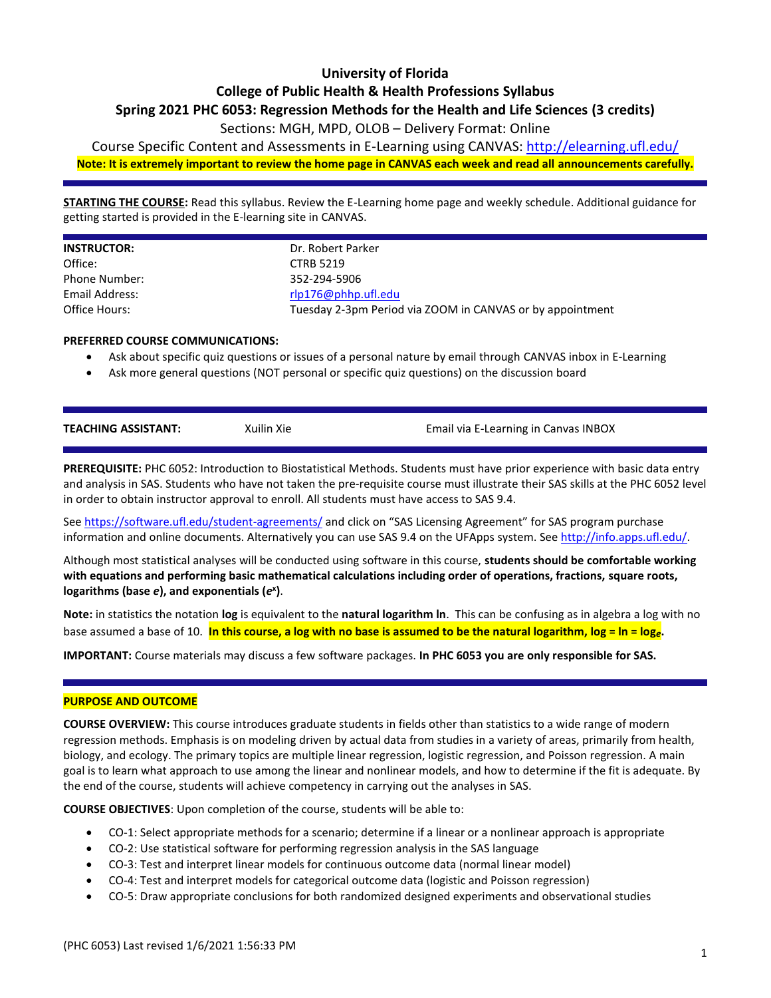# **University of Florida**

# **College of Public Health & Health Professions Syllabus**

### **Spring 2021 PHC 6053: Regression Methods for the Health and Life Sciences (3 credits)**

## Sections: MGH, MPD, OLOB – Delivery Format: Online

Course Specific Content and Assessments in E-Learning using CANVAS: <http://elearning.ufl.edu/> **Note: It is extremely important to review the home page in CANVAS each week and read all announcements carefully.**

**STARTING THE COURSE:** Read this syllabus. Review the E-Learning home page and weekly schedule. Additional guidance for getting started is provided in the E-learning site in CANVAS.

| <b>INSTRUCTOR:</b> | Dr. Robert Parker                                         |
|--------------------|-----------------------------------------------------------|
| Office:            | <b>CTRB 5219</b>                                          |
| Phone Number:      | 352-294-5906                                              |
| Email Address:     | $r$ lp176@phhp.ufl.edu                                    |
| Office Hours:      | Tuesday 2-3pm Period via ZOOM in CANVAS or by appointment |
|                    |                                                           |

#### **PREFERRED COURSE COMMUNICATIONS:**

- Ask about specific quiz questions or issues of a personal nature by email through CANVAS inbox in E-Learning
- Ask more general questions (NOT personal or specific quiz questions) on the discussion board

| <b>TEACHING ASSISTANT:</b> | Xuilin Xie | Email via E-Learning in Canvas INBOX |
|----------------------------|------------|--------------------------------------|
|                            |            |                                      |

**PREREQUISITE:** PHC 6052: Introduction to Biostatistical Methods. Students must have prior experience with basic data entry and analysis in SAS. Students who have not taken the pre-requisite course must illustrate their SAS skills at the PHC 6052 level in order to obtain instructor approval to enroll. All students must have access to SAS 9.4.

See <https://software.ufl.edu/student-agreements/> and click on "SAS Licensing Agreement" for SAS program purchase information and online documents. Alternatively you can use SAS 9.4 on the UFApps system. See [http://info.apps.ufl.edu/.](http://info.apps.ufl.edu/)

Although most statistical analyses will be conducted using software in this course, **students should be comfortable working with equations and performing basic mathematical calculations including order of operations, fractions, square roots, logarithms (base** *e***), and exponentials (***e* **x )**.

**Note:** in statistics the notation **log** is equivalent to the **natural logarithm ln**. This can be confusing as in algebra a log with no base assumed a base of 10. **In this course, a log with no base is assumed to be the natural logarithm, log = ln = log***e***.** 

**IMPORTANT:** Course materials may discuss a few software packages. **In PHC 6053 you are only responsible for SAS.**

#### **PURPOSE AND OUTCOME**

**COURSE OVERVIEW:** This course introduces graduate students in fields other than statistics to a wide range of modern regression methods. Emphasis is on modeling driven by actual data from studies in a variety of areas, primarily from health, biology, and ecology. The primary topics are multiple linear regression, logistic regression, and Poisson regression. A main goal is to learn what approach to use among the linear and nonlinear models, and how to determine if the fit is adequate. By the end of the course, students will achieve competency in carrying out the analyses in SAS.

**COURSE OBJECTIVES**: Upon completion of the course, students will be able to:

- CO-1: Select appropriate methods for a scenario; determine if a linear or a nonlinear approach is appropriate
- CO-2: Use statistical software for performing regression analysis in the SAS language
- CO-3: Test and interpret linear models for continuous outcome data (normal linear model)
- CO-4: Test and interpret models for categorical outcome data (logistic and Poisson regression)
- CO-5: Draw appropriate conclusions for both randomized designed experiments and observational studies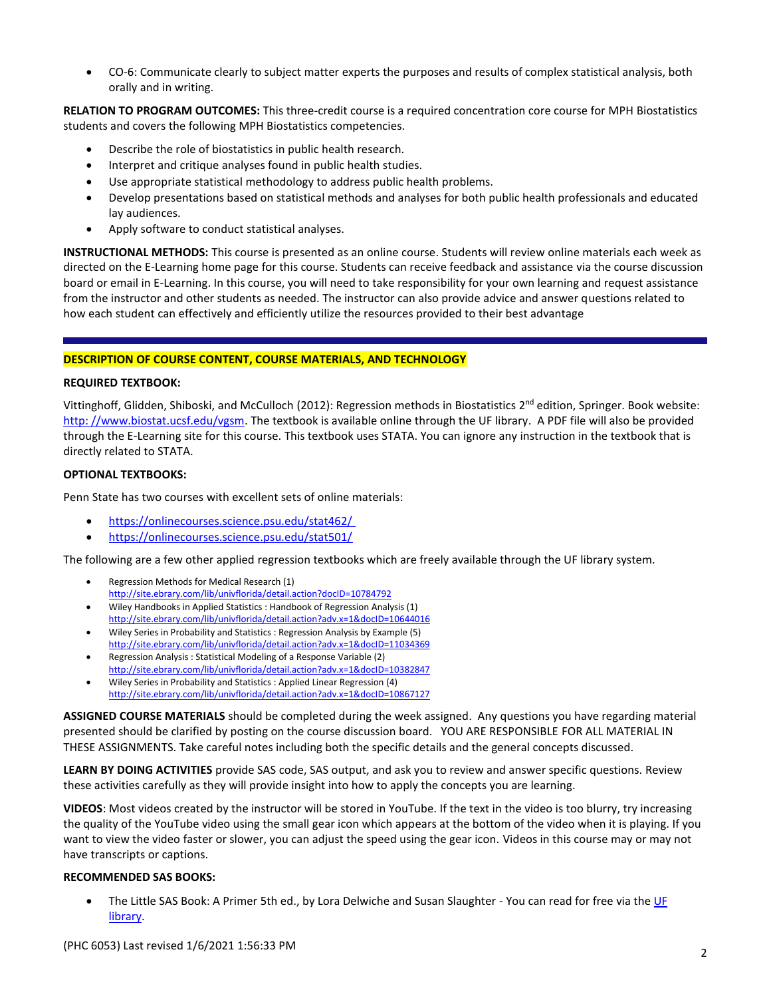CO-6: Communicate clearly to subject matter experts the purposes and results of complex statistical analysis, both orally and in writing.

**RELATION TO PROGRAM OUTCOMES:** This three-credit course is a required concentration core course for MPH Biostatistics students and covers the following MPH Biostatistics competencies.

- Describe the role of biostatistics in public health research.
- Interpret and critique analyses found in public health studies.
- Use appropriate statistical methodology to address public health problems.
- Develop presentations based on statistical methods and analyses for both public health professionals and educated lay audiences.
- Apply software to conduct statistical analyses.

**INSTRUCTIONAL METHODS:** This course is presented as an online course. Students will review online materials each week as directed on the E-Learning home page for this course. Students can receive feedback and assistance via the course discussion board or email in E-Learning. In this course, you will need to take responsibility for your own learning and request assistance from the instructor and other students as needed. The instructor can also provide advice and answer questions related to how each student can effectively and efficiently utilize the resources provided to their best advantage

### **DESCRIPTION OF COURSE CONTENT, COURSE MATERIALS, AND TECHNOLOGY**

#### **REQUIRED TEXTBOOK:**

Vittinghoff, Glidden, Shiboski, and McCulloch (2012): Regression methods in Biostatistics  $2^{nd}$  edition, Springer. Book website: [http: //www.biostat.ucsf.edu/vgsm.](http://www.biostat.ucsf.edu/vgsm) The textbook is available online through the UF library. A PDF file will also be provided through the E-Learning site for this course. This textbook uses STATA. You can ignore any instruction in the textbook that is directly related to STATA.

#### **OPTIONAL TEXTBOOKS:**

Penn State has two courses with excellent sets of online materials:

- <https://onlinecourses.science.psu.edu/stat462/>
- <https://onlinecourses.science.psu.edu/stat501/>

The following are a few other applied regression textbooks which are freely available through the UF library system.

- Regression Methods for Medical Research (1) <http://site.ebrary.com/lib/univflorida/detail.action?docID=10784792>
- Wiley Handbooks in Applied Statistics : Handbook of Regression Analysis (1) <http://site.ebrary.com/lib/univflorida/detail.action?adv.x=1&docID=10644016>
- Wiley Series in Probability and Statistics : Regression Analysis by Example (5) <http://site.ebrary.com/lib/univflorida/detail.action?adv.x=1&docID=11034369>
- Regression Analysis : Statistical Modeling of a Response Variable (2) <http://site.ebrary.com/lib/univflorida/detail.action?adv.x=1&docID=10382847>
- Wiley Series in Probability and Statistics : Applied Linear Regression (4) <http://site.ebrary.com/lib/univflorida/detail.action?adv.x=1&docID=10867127>

**ASSIGNED COURSE MATERIALS** should be completed during the week assigned. Any questions you have regarding material presented should be clarified by posting on the course discussion board. YOU ARE RESPONSIBLE FOR ALL MATERIAL IN THESE ASSIGNMENTS. Take careful notes including both the specific details and the general concepts discussed.

**LEARN BY DOING ACTIVITIES** provide SAS code, SAS output, and ask you to review and answer specific questions. Review these activities carefully as they will provide insight into how to apply the concepts you are learning.

**VIDEOS**: Most videos created by the instructor will be stored in YouTube. If the text in the video is too blurry, try increasing the quality of the YouTube video using the small gear icon which appears at the bottom of the video when it is playing. If you want to view the video faster or slower, you can adjust the speed using the gear icon. Videos in this course may or may not have transcripts or captions.

#### **RECOMMENDED SAS BOOKS:**

The Little SAS Book: A Primer 5th ed., by Lora Delwiche and Susan Slaughter - You can read for free via the UF [library.](http://ufl.summon.serialssolutions.com/search/results?q=the%20little%20sas%20book%205th%20edition#!/search?ho=t&l=en&q=the%20little%20sas%20book%205th%20edition)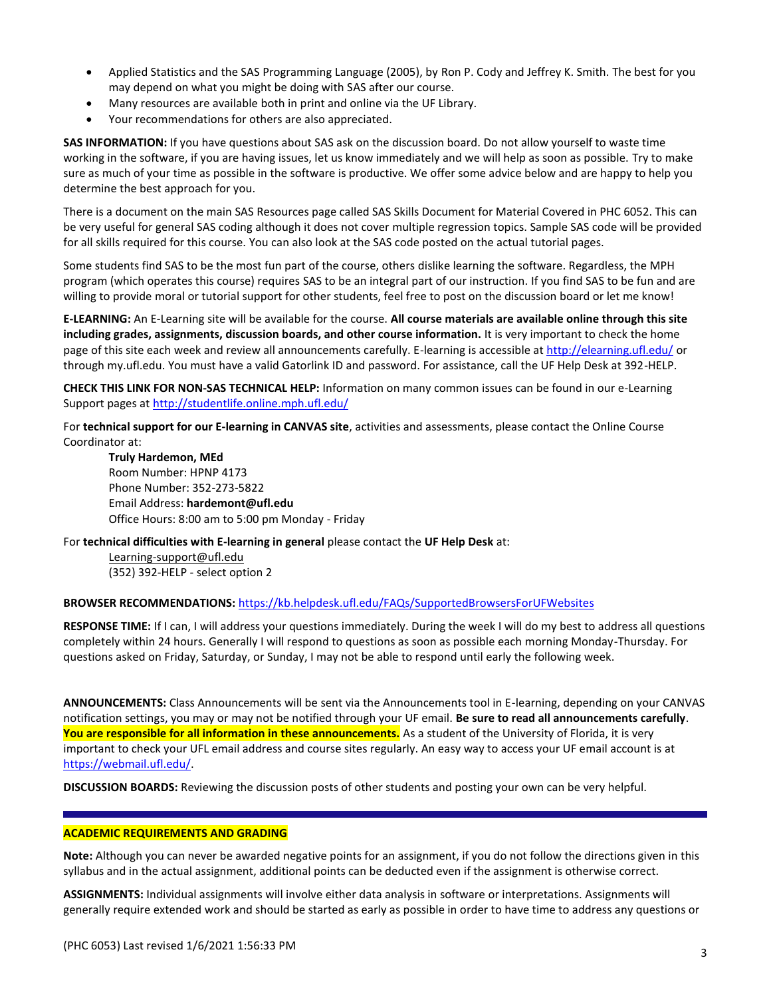- Applied Statistics and the SAS Programming Language (2005), by Ron P. Cody and Jeffrey K. Smith. The best for you may depend on what you might be doing with SAS after our course.
- Many resources are available both in print and online via the UF Library.
- Your recommendations for others are also appreciated.

**SAS INFORMATION:** If you have questions about SAS ask on the discussion board. Do not allow yourself to waste time working in the software, if you are having issues, let us know immediately and we will help as soon as possible. Try to make sure as much of your time as possible in the software is productive. We offer some advice below and are happy to help you determine the best approach for you.

There is a document on the main SAS Resources page called SAS Skills Document for Material Covered in PHC 6052. This can be very useful for general SAS coding although it does not cover multiple regression topics. Sample SAS code will be provided for all skills required for this course. You can also look at the SAS code posted on the actual tutorial pages.

Some students find SAS to be the most fun part of the course, others dislike learning the software. Regardless, the MPH program (which operates this course) requires SAS to be an integral part of our instruction. If you find SAS to be fun and are willing to provide moral or tutorial support for other students, feel free to post on the discussion board or let me know!

**E-LEARNING:** An E-Learning site will be available for the course. **All course materials are available online through this site including grades, assignments, discussion boards, and other course information.** It is very important to check the home page of this site each week and review all announcements carefully. E-learning is accessible at<http://elearning.ufl.edu/> or through my.ufl.edu. You must have a valid Gatorlink ID and password. For assistance, call the UF Help Desk at 392-HELP.

**CHECK THIS LINK FOR NON-SAS TECHNICAL HELP:** Information on many common issues can be found in our e-Learning Support pages a[t http://studentlife.online.mph.ufl.edu/](http://studentlife.online.mph.ufl.edu/)

For **technical support for our E-learning in CANVAS site**, activities and assessments, please contact the Online Course Coordinator at:

**Truly Hardemon, MEd** Room Number: HPNP 4173 Phone Number: 352-273-5822 Email Address: **hardemont@ufl.edu** Office Hours: 8:00 am to 5:00 pm Monday - Friday

For **technical difficulties with E-learning in general** please contact the **UF Help Desk** at:

[Learning-support@ufl.edu](file:///C:/Users/hackg/Desktop/Learning-support@ufl.edu) (352) 392-HELP - select option 2

#### **BROWSER RECOMMENDATIONS:** <https://kb.helpdesk.ufl.edu/FAQs/SupportedBrowsersForUFWebsites>

**RESPONSE TIME:** If I can, I will address your questions immediately. During the week I will do my best to address all questions completely within 24 hours. Generally I will respond to questions as soon as possible each morning Monday-Thursday. For questions asked on Friday, Saturday, or Sunday, I may not be able to respond until early the following week.

**ANNOUNCEMENTS:** Class Announcements will be sent via the Announcements tool in E-learning, depending on your CANVAS notification settings, you may or may not be notified through your UF email. **Be sure to read all announcements carefully**. **You are responsible for all information in these announcements.** As a student of the University of Florida, it is very important to check your UFL email address and course sites regularly. An easy way to access your UF email account is at [https://webmail.ufl.edu/.](https://webmail.ufl.edu/)

**DISCUSSION BOARDS:** Reviewing the discussion posts of other students and posting your own can be very helpful.

#### **ACADEMIC REQUIREMENTS AND GRADING**

**Note:** Although you can never be awarded negative points for an assignment, if you do not follow the directions given in this syllabus and in the actual assignment, additional points can be deducted even if the assignment is otherwise correct.

**ASSIGNMENTS:** Individual assignments will involve either data analysis in software or interpretations. Assignments will generally require extended work and should be started as early as possible in order to have time to address any questions or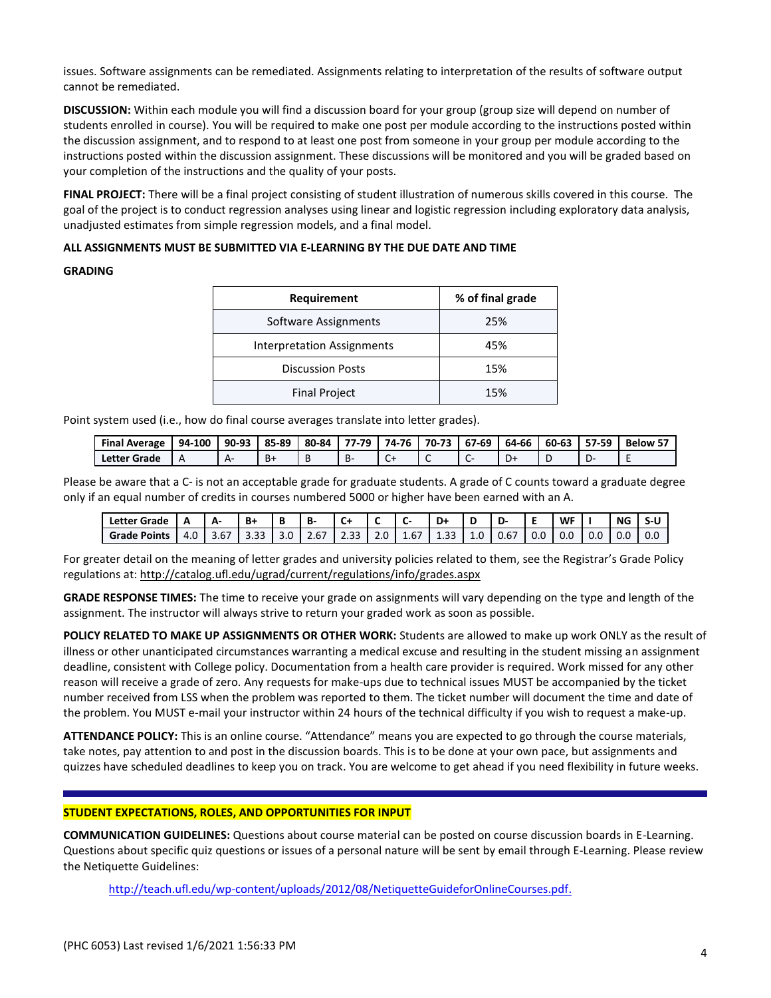issues. Software assignments can be remediated. Assignments relating to interpretation of the results of software output cannot be remediated.

**DISCUSSION:** Within each module you will find a discussion board for your group (group size will depend on number of students enrolled in course). You will be required to make one post per module according to the instructions posted within the discussion assignment, and to respond to at least one post from someone in your group per module according to the instructions posted within the discussion assignment. These discussions will be monitored and you will be graded based on your completion of the instructions and the quality of your posts.

**FINAL PROJECT:** There will be a final project consisting of student illustration of numerous skills covered in this course. The goal of the project is to conduct regression analyses using linear and logistic regression including exploratory data analysis, unadjusted estimates from simple regression models, and a final model.

#### **ALL ASSIGNMENTS MUST BE SUBMITTED VIA E-LEARNING BY THE DUE DATE AND TIME**

#### **GRADING**

| Requirement                       | % of final grade |
|-----------------------------------|------------------|
| Software Assignments              | 25%              |
| <b>Interpretation Assignments</b> | 45%              |
| <b>Discussion Posts</b>           | 15%              |
| <b>Final Project</b>              | 15%              |

Point system used (i.e., how do final course averages translate into letter grades).

| <b>Final Average</b> | 94-100 | 90-93 | 85-89 | 80-84 | 77.79 | 74-76 | 70-73 | 67-69 | 64-66 | 60-63 | 57-59 | Below 57 |
|----------------------|--------|-------|-------|-------|-------|-------|-------|-------|-------|-------|-------|----------|
| Letter Grade         |        | Δ.    | Вt    |       | ь٠    | ∼     | ∼     |       | D+    |       |       |          |

Please be aware that a C- is not an acceptable grade for graduate students. A grade of C counts toward a graduate degree only if an equal number of credits in courses numbered 5000 or higher have been earned with an A.

| <b>Letter Grade</b> | n   | A    | B+             | н   | В-             | $\sim$<br>◡       |     |                    | D<br>יט - | D   | D-   | --  | WF  |     | <b>NG</b>        | 3-l |
|---------------------|-----|------|----------------|-----|----------------|-------------------|-----|--------------------|-----------|-----|------|-----|-----|-----|------------------|-----|
| <b>Grade Points</b> | 4.U | 3.b/ | $\sim$<br>3.33 | 3.U | $\sim$<br>2.b/ | ∽<br>- - - -<br>ر | Z.U | $\sim$ $-$<br>1.6/ | ر ر.ر     | 1.U | U.b/ | v.v | v.u | U.U | 0.0 <sub>1</sub> | 0.0 |

For greater detail on the meaning of letter grades and university policies related to them, see the Registrar's Grade Policy regulations at: <http://catalog.ufl.edu/ugrad/current/regulations/info/grades.aspx>

**GRADE RESPONSE TIMES:** The time to receive your grade on assignments will vary depending on the type and length of the assignment. The instructor will always strive to return your graded work as soon as possible.

**POLICY RELATED TO MAKE UP ASSIGNMENTS OR OTHER WORK:** Students are allowed to make up work ONLY as the result of illness or other unanticipated circumstances warranting a medical excuse and resulting in the student missing an assignment deadline, consistent with College policy. Documentation from a health care provider is required. Work missed for any other reason will receive a grade of zero. Any requests for make-ups due to technical issues MUST be accompanied by the ticket number received from LSS when the problem was reported to them. The ticket number will document the time and date of the problem. You MUST e-mail your instructor within 24 hours of the technical difficulty if you wish to request a make-up.

**ATTENDANCE POLICY:** This is an online course. "Attendance" means you are expected to go through the course materials, take notes, pay attention to and post in the discussion boards. This is to be done at your own pace, but assignments and quizzes have scheduled deadlines to keep you on track. You are welcome to get ahead if you need flexibility in future weeks.

#### **STUDENT EXPECTATIONS, ROLES, AND OPPORTUNITIES FOR INPUT**

**COMMUNICATION GUIDELINES:** Questions about course material can be posted on course discussion boards in E-Learning. Questions about specific quiz questions or issues of a personal nature will be sent by email through E-Learning. Please review the Netiquette Guidelines:

[http://teach.ufl.edu/wp-content/uploads/2012/08/NetiquetteGuideforOnlineCourses.pdf.](http://teach.ufl.edu/wp-content/uploads/2012/08/NetiquetteGuideforOnlineCourses.pdf)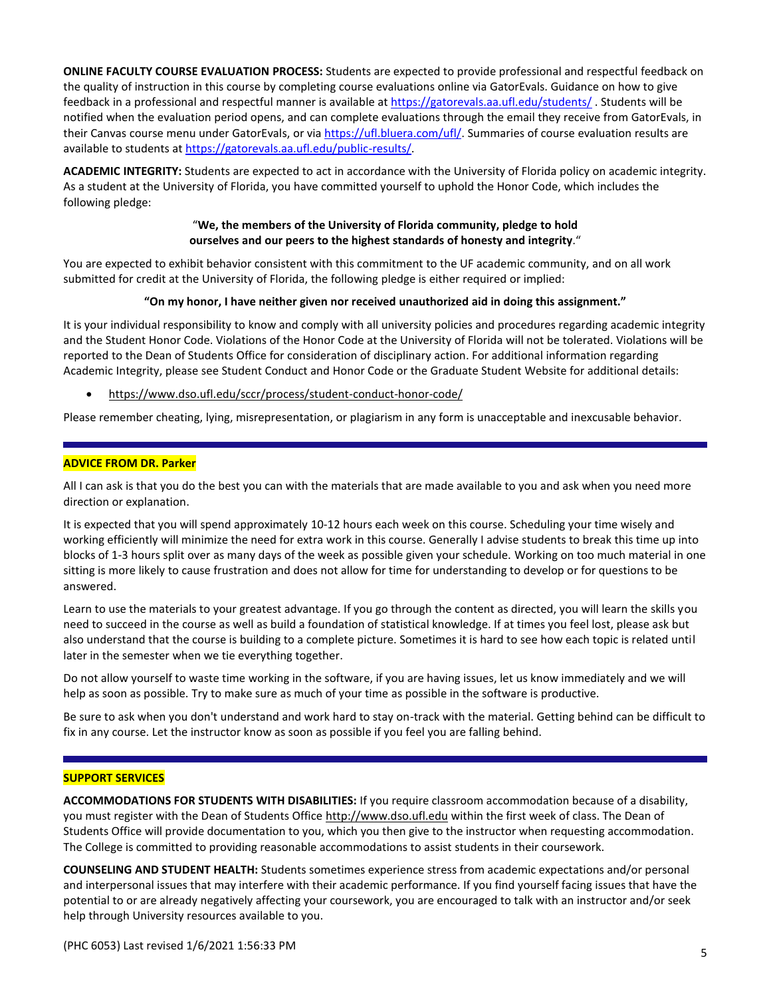**ONLINE FACULTY COURSE EVALUATION PROCESS:** Students are expected to provide professional and respectful feedback on the quality of instruction in this course by completing course evaluations online via GatorEvals. Guidance on how to give feedback in a professional and respectful manner is available at <https://gatorevals.aa.ufl.edu/students/> . Students will be notified when the evaluation period opens, and can complete evaluations through the email they receive from GatorEvals, in their Canvas course menu under GatorEvals, or via [https://ufl.bluera.com/ufl/.](https://ufl.bluera.com/ufl/) Summaries of course evaluation results are available to students at [https://gatorevals.aa.ufl.edu/public-results/.](https://gatorevals.aa.ufl.edu/public-results/)

**ACADEMIC INTEGRITY:** Students are expected to act in accordance with the University of Florida policy on academic integrity. As a student at the University of Florida, you have committed yourself to uphold the Honor Code, which includes the following pledge:

#### "**We, the members of the University of Florida community, pledge to hold ourselves and our peers to the highest standards of honesty and integrity**."

You are expected to exhibit behavior consistent with this commitment to the UF academic community, and on all work submitted for credit at the University of Florida, the following pledge is either required or implied:

#### **"On my honor, I have neither given nor received unauthorized aid in doing this assignment."**

It is your individual responsibility to know and comply with all university policies and procedures regarding academic integrity and the Student Honor Code. Violations of the Honor Code at the University of Florida will not be tolerated. Violations will be reported to the Dean of Students Office for consideration of disciplinary action. For additional information regarding Academic Integrity, please see Student Conduct and Honor Code or the Graduate Student Website for additional details:

<https://www.dso.ufl.edu/sccr/process/student-conduct-honor-code/>

Please remember cheating, lying, misrepresentation, or plagiarism in any form is unacceptable and inexcusable behavior.

#### **ADVICE FROM DR. Parker**

All I can ask is that you do the best you can with the materials that are made available to you and ask when you need more direction or explanation.

It is expected that you will spend approximately 10-12 hours each week on this course. Scheduling your time wisely and working efficiently will minimize the need for extra work in this course. Generally I advise students to break this time up into blocks of 1-3 hours split over as many days of the week as possible given your schedule. Working on too much material in one sitting is more likely to cause frustration and does not allow for time for understanding to develop or for questions to be answered.

Learn to use the materials to your greatest advantage. If you go through the content as directed, you will learn the skills you need to succeed in the course as well as build a foundation of statistical knowledge. If at times you feel lost, please ask but also understand that the course is building to a complete picture. Sometimes it is hard to see how each topic is related until later in the semester when we tie everything together.

Do not allow yourself to waste time working in the software, if you are having issues, let us know immediately and we will help as soon as possible. Try to make sure as much of your time as possible in the software is productive.

Be sure to ask when you don't understand and work hard to stay on-track with the material. Getting behind can be difficult to fix in any course. Let the instructor know as soon as possible if you feel you are falling behind.

#### **SUPPORT SERVICES**

**ACCOMMODATIONS FOR STUDENTS WITH DISABILITIES:** If you require classroom accommodation because of a disability, you must register with the Dean of Students Office [http://www.dso.ufl.edu](http://www.dso.ufl.edu/) within the first week of class. The Dean of Students Office will provide documentation to you, which you then give to the instructor when requesting accommodation. The College is committed to providing reasonable accommodations to assist students in their coursework.

**COUNSELING AND STUDENT HEALTH:** Students sometimes experience stress from academic expectations and/or personal and interpersonal issues that may interfere with their academic performance. If you find yourself facing issues that have the potential to or are already negatively affecting your coursework, you are encouraged to talk with an instructor and/or seek help through University resources available to you.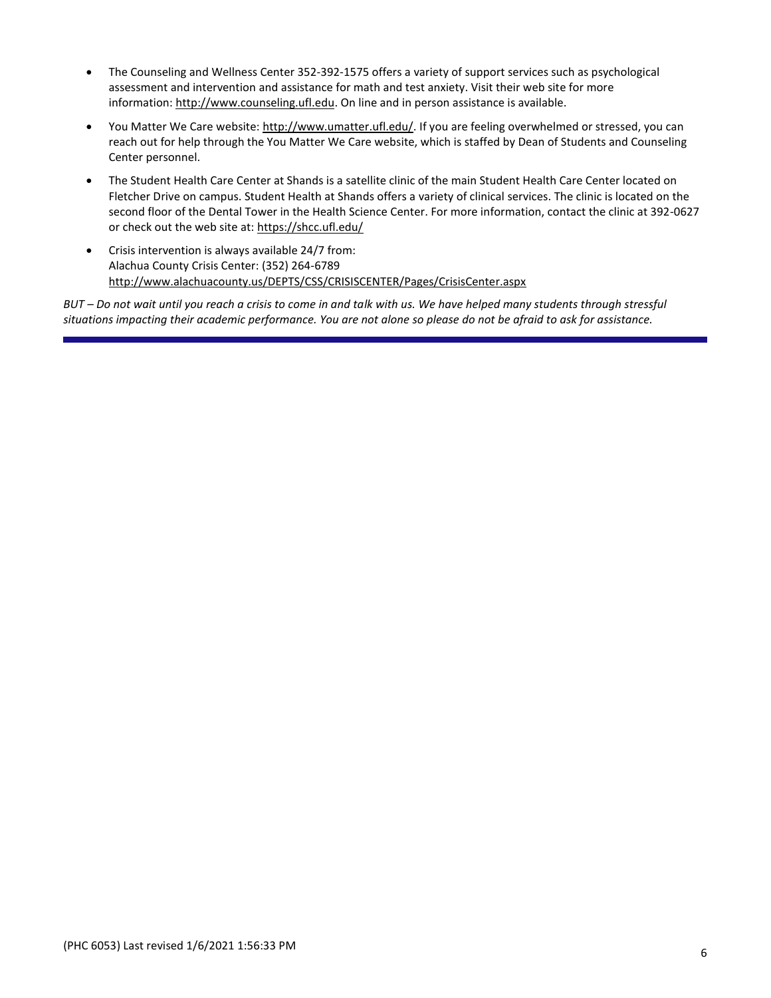- The Counseling and Wellness Center 352-392-1575 offers a variety of support services such as psychological assessment and intervention and assistance for math and test anxiety. Visit their web site for more information: [http://www.counseling.ufl.edu.](http://www.counseling.ufl.edu/) On line and in person assistance is available.
- You Matter We Care website[: http://www.umatter.ufl.edu/.](http://www.umatter.ufl.edu/) If you are feeling overwhelmed or stressed, you can reach out for help through the You Matter We Care website, which is staffed by Dean of Students and Counseling Center personnel.
- The Student Health Care Center at Shands is a satellite clinic of the main Student Health Care Center located on Fletcher Drive on campus. Student Health at Shands offers a variety of clinical services. The clinic is located on the second floor of the Dental Tower in the Health Science Center. For more information, contact the clinic at 392-0627 or check out the web site at: <https://shcc.ufl.edu/>
- Crisis intervention is always available 24/7 from: Alachua County Crisis Center: (352) 264-6789 <http://www.alachuacounty.us/DEPTS/CSS/CRISISCENTER/Pages/CrisisCenter.aspx>

*BUT – Do not wait until you reach a crisis to come in and talk with us. We have helped many students through stressful situations impacting their academic performance. You are not alone so please do not be afraid to ask for assistance.*